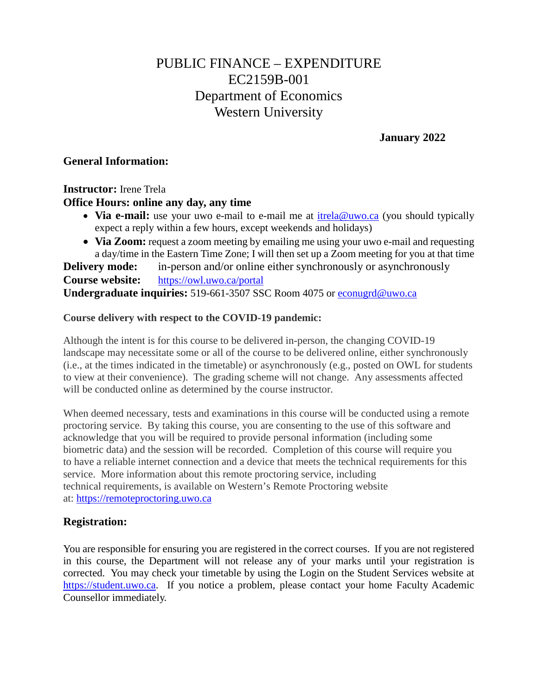# PUBLIC FINANCE – EXPENDITURE EC2159B-001 Department of Economics Western University

**January 2022**

#### **General Information:**

**Instructor:** Irene Trela

## **Office Hours: online any day, any time**

- **Via e-mail:** use your uwo e-mail to e-mail me at [itrela@uwo.ca](mailto:itrela@uwo.ca) (you should typically expect a reply within a few hours, except weekends and holidays)
- **Via Zoom:** request a zoom meeting by emailing me using your uwo e-mail and requesting a day/time in the Eastern Time Zone; I will then set up a Zoom meeting for you at that time

**Delivery mode:** in-person and/or online either synchronously or asynchronously **Course website:** <https://owl.uwo.ca/portal> **Undergraduate inquiries:** 519-661-3507 SSC Room 4075 or [econugrd@uwo.ca](mailto:econugrd@uwo.ca)

#### **Course delivery with respect to the COVID-19 pandemic:**

Although the intent is for this course to be delivered in-person, the changing COVID-19 landscape may necessitate some or all of the course to be delivered online, either synchronously (i.e., at the times indicated in the timetable) or asynchronously (e.g., posted on OWL for students to view at their convenience). The grading scheme will not change. Any assessments affected will be conducted online as determined by the course instructor.

When deemed necessary, tests and examinations in this course will be conducted using a remote proctoring service. By taking this course, you are consenting to the use of this software and acknowledge that you will be required to provide personal information (including some biometric data) and the session will be recorded. Completion of this course will require you to have a reliable internet connection and a device that meets the technical requirements for this service. More information about this remote proctoring service, including technical requirements, is available on Western's Remote Proctoring website at: [https://remoteproctoring.uwo.ca](https://remoteproctoring.uwo.ca/)

## **Registration:**

You are responsible for ensuring you are registered in the correct courses. If you are not registered in this course, the Department will not release any of your marks until your registration is corrected. You may check your timetable by using the Login on the Student Services website at [https://student.uwo.ca.](https://student.uwo.ca/) If you notice a problem, please contact your home Faculty Academic Counsellor immediately.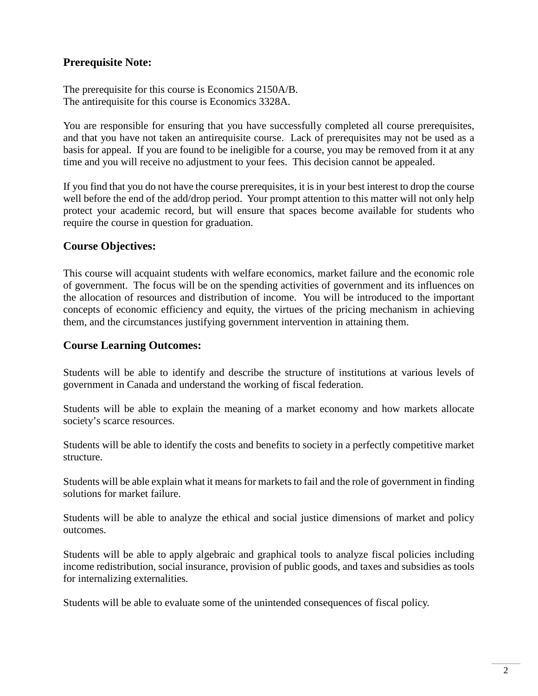## **Prerequisite Note:**

The prerequisite for this course is Economics 2150A/B. The antirequisite for this course is Economics 3328A.

You are responsible for ensuring that you have successfully completed all course prerequisites, and that you have not taken an antirequisite course. Lack of prerequisites may not be used as a basis for appeal. If you are found to be ineligible for a course, you may be removed from it at any time and you will receive no adjustment to your fees. This decision cannot be appealed.

If you find that you do not have the course prerequisites, it is in your best interest to drop the course well before the end of the add/drop period. Your prompt attention to this matter will not only help protect your academic record, but will ensure that spaces become available for students who require the course in question for graduation.

#### **Course Objectives:**

This course will acquaint students with welfare economics, market failure and the economic role of government. The focus will be on the spending activities of government and its influences on the allocation of resources and distribution of income. You will be introduced to the important concepts of economic efficiency and equity, the virtues of the pricing mechanism in achieving them, and the circumstances justifying government intervention in attaining them.

#### **Course Learning Outcomes:**

Students will be able to identify and describe the structure of institutions at various levels of government in Canada and understand the working of fiscal federation.

Students will be able to explain the meaning of a market economy and how markets allocate society's scarce resources.

Students will be able to identify the costs and benefits to society in a perfectly competitive market structure.

Students will be able explain what it means for markets to fail and the role of government in finding solutions for market failure.

Students will be able to analyze the ethical and social justice dimensions of market and policy outcomes.

Students will be able to apply algebraic and graphical tools to analyze fiscal policies including income redistribution, social insurance, provision of public goods, and taxes and subsidies as tools for internalizing externalities.

Students will be able to evaluate some of the unintended consequences of fiscal policy.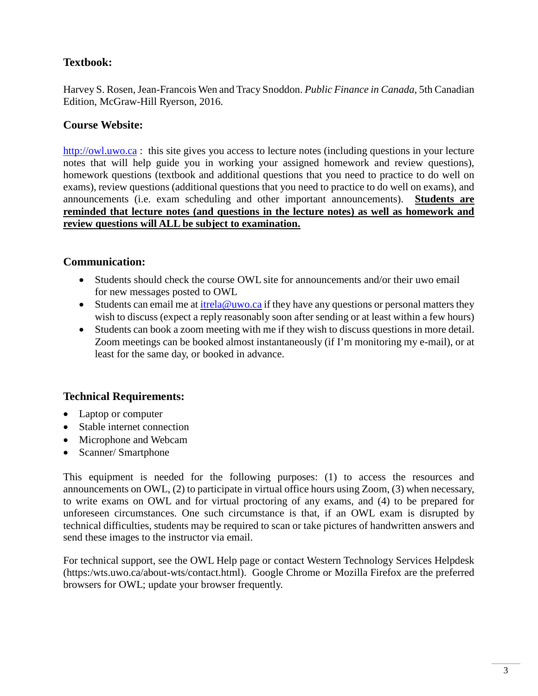# **Textbook:**

Harvey S. Rosen, Jean-Francois Wen and Tracy Snoddon. *Public Finance in Canada*, 5th Canadian Edition, McGraw-Hill Ryerson, 2016.

### **Course Website:**

[http://owl.uwo.ca](http://owl.uwo.ca/) : this site gives you access to lecture notes (including questions in your lecture notes that will help guide you in working your assigned homework and review questions), homework questions (textbook and additional questions that you need to practice to do well on exams), review questions (additional questions that you need to practice to do well on exams), and announcements (i.e. exam scheduling and other important announcements). **Students are reminded that lecture notes (and questions in the lecture notes) as well as homework and review questions will ALL be subject to examination.** 

#### **Communication:**

- Students should check the course OWL site for announcements and/or their uwo email for new messages posted to OWL
- Students can email me at [itrela@uwo.ca](mailto:itrela@uwo.ca) if they have any questions or personal matters they wish to discuss (expect a reply reasonably soon after sending or at least within a few hours)
- Students can book a zoom meeting with me if they wish to discuss questions in more detail. Zoom meetings can be booked almost instantaneously (if I'm monitoring my e-mail), or at least for the same day, or booked in advance.

# **Technical Requirements:**

- Laptop or computer
- Stable internet connection
- Microphone and Webcam
- Scanner/ Smartphone

This equipment is needed for the following purposes: (1) to access the resources and announcements on OWL, (2) to participate in virtual office hours using Zoom, (3) when necessary, to write exams on OWL and for virtual proctoring of any exams, and (4) to be prepared for unforeseen circumstances. One such circumstance is that, if an OWL exam is disrupted by technical difficulties, students may be required to scan or take pictures of handwritten answers and send these images to the instructor via email.

For technical support, see the OWL Help page or contact Western Technology Services Helpdesk (https:/wts.uwo.ca/about-wts/contact.html). Google Chrome or Mozilla Firefox are the preferred browsers for OWL; update your browser frequently.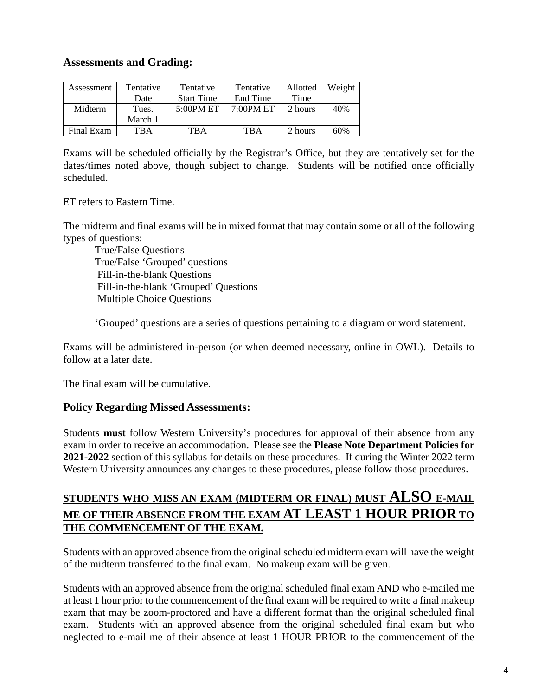### **Assessments and Grading:**

| Assessment | Tentative | Tentative         | Tentative    | Allotted | Weight |
|------------|-----------|-------------------|--------------|----------|--------|
|            | Date      | <b>Start Time</b> | End Time     | Time     |        |
| Midterm    | Tues.     | $5:00$ PM ET      | $7:00$ PM ET | 2 hours  | 40%    |
|            | March 1   |                   |              |          |        |
| Final Exam | TBA       | TBA               | <b>TBA</b>   | 2 hours  | 60%    |

Exams will be scheduled officially by the Registrar's Office, but they are tentatively set for the dates/times noted above, though subject to change. Students will be notified once officially scheduled.

ET refers to Eastern Time.

The midterm and final exams will be in mixed format that may contain some or all of the following types of questions:

True/False Questions True/False 'Grouped' questions Fill-in-the-blank Questions Fill-in-the-blank 'Grouped' Questions Multiple Choice Questions

'Grouped' questions are a series of questions pertaining to a diagram or word statement.

Exams will be administered in-person (or when deemed necessary, online in OWL). Details to follow at a later date.

The final exam will be cumulative.

#### **Policy Regarding Missed Assessments:**

Students **must** follow Western University's procedures for approval of their absence from any exam in order to receive an accommodation. Please see the **Please Note Department Policies for 2021-2022** section of this syllabus for details on these procedures. If during the Winter 2022 term Western University announces any changes to these procedures, please follow those procedures.

# **STUDENTS WHO MISS AN EXAM (MIDTERM OR FINAL) MUST ALSO E-MAIL ME OF THEIR ABSENCE FROM THE EXAM AT LEAST 1 HOUR PRIOR TO THE COMMENCEMENT OF THE EXAM.**

Students with an approved absence from the original scheduled midterm exam will have the weight of the midterm transferred to the final exam. No makeup exam will be given.

Students with an approved absence from the original scheduled final exam AND who e-mailed me at least 1 hour prior to the commencement of the final exam will be required to write a final makeup exam that may be zoom-proctored and have a different format than the original scheduled final exam. Students with an approved absence from the original scheduled final exam but who neglected to e-mail me of their absence at least 1 HOUR PRIOR to the commencement of the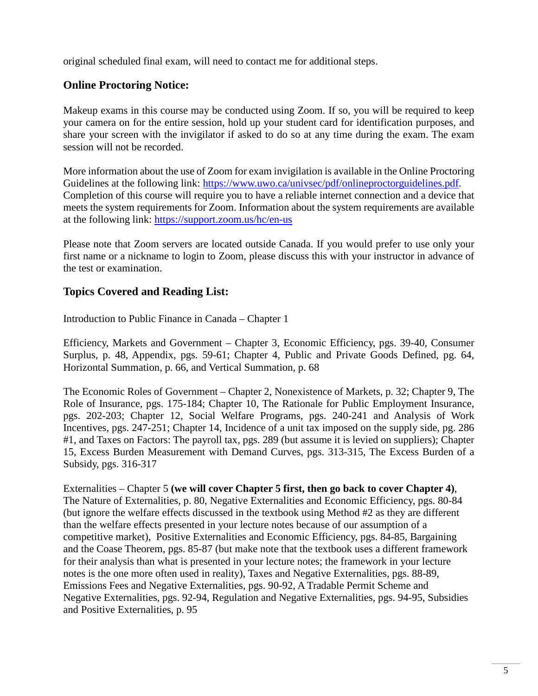original scheduled final exam, will need to contact me for additional steps.

## **Online Proctoring Notice:**

Makeup exams in this course may be conducted using Zoom. If so, you will be required to keep your camera on for the entire session, hold up your student card for identification purposes, and share your screen with the invigilator if asked to do so at any time during the exam. The exam session will not be recorded.

More information about the use of Zoom for exam invigilation is available in the Online Proctoring Guidelines at the following link: [https://www.uwo.ca/univsec/pdf/onlineproctorguidelines.pdf.](https://www.uwo.ca/univsec/pdf/onlineproctorguidelines.pdf) Completion of this course will require you to have a reliable internet connection and a device that meets the system requirements for Zoom. Information about the system requirements are available at the following link:<https://support.zoom.us/hc/en-us>

Please note that Zoom servers are located outside Canada. If you would prefer to use only your first name or a nickname to login to Zoom, please discuss this with your instructor in advance of the test or examination.

## **Topics Covered and Reading List:**

Introduction to Public Finance in Canada – Chapter 1

Efficiency, Markets and Government – Chapter 3, Economic Efficiency, pgs. 39-40, Consumer Surplus, p. 48, Appendix, pgs. 59-61; Chapter 4, Public and Private Goods Defined, pg. 64, Horizontal Summation, p. 66, and Vertical Summation, p. 68

The Economic Roles of Government – Chapter 2, Nonexistence of Markets, p. 32; Chapter 9, The Role of Insurance, pgs. 175-184; Chapter 10, The Rationale for Public Employment Insurance, pgs. 202-203; Chapter 12, Social Welfare Programs, pgs. 240-241 and Analysis of Work Incentives, pgs. 247-251; Chapter 14, Incidence of a unit tax imposed on the supply side, pg. 286 #1, and Taxes on Factors: The payroll tax, pgs. 289 (but assume it is levied on suppliers); Chapter 15, Excess Burden Measurement with Demand Curves, pgs. 313-315, The Excess Burden of a Subsidy, pgs. 316-317

Externalities – Chapter 5 **(we will cover Chapter 5 first, then go back to cover Chapter 4)**, The Nature of Externalities, p. 80, Negative Externalities and Economic Efficiency, pgs. 80-84 (but ignore the welfare effects discussed in the textbook using Method #2 as they are different than the welfare effects presented in your lecture notes because of our assumption of a competitive market), Positive Externalities and Economic Efficiency, pgs. 84-85, Bargaining and the Coase Theorem, pgs. 85-87 (but make note that the textbook uses a different framework for their analysis than what is presented in your lecture notes; the framework in your lecture notes is the one more often used in reality), Taxes and Negative Externalities, pgs. 88-89, Emissions Fees and Negative Externalities, pgs. 90-92, A Tradable Permit Scheme and Negative Externalities, pgs. 92-94, Regulation and Negative Externalities, pgs. 94-95, Subsidies and Positive Externalities, p. 95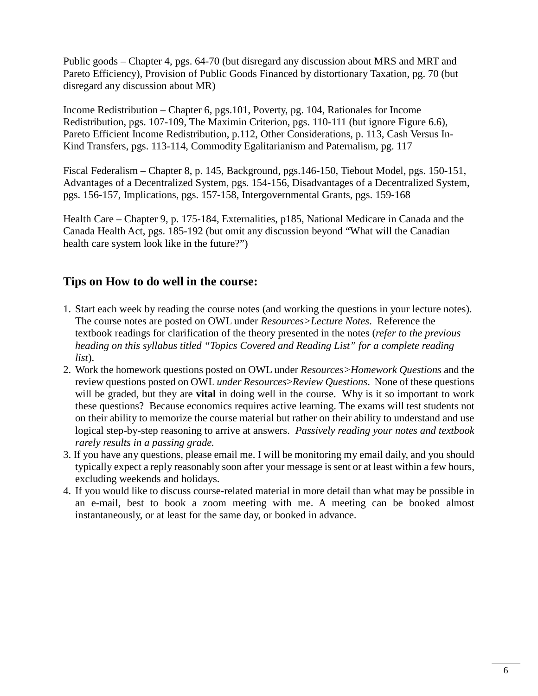Public goods – Chapter 4, pgs. 64-70 (but disregard any discussion about MRS and MRT and Pareto Efficiency), Provision of Public Goods Financed by distortionary Taxation, pg. 70 (but disregard any discussion about MR)

Income Redistribution – Chapter 6, pgs.101, Poverty, pg. 104, Rationales for Income Redistribution, pgs. 107-109, The Maximin Criterion, pgs. 110-111 (but ignore Figure 6.6), Pareto Efficient Income Redistribution, p.112, Other Considerations, p. 113, Cash Versus In-Kind Transfers, pgs. 113-114, Commodity Egalitarianism and Paternalism, pg. 117

Fiscal Federalism – Chapter 8, p. 145, Background, pgs.146-150, Tiebout Model, pgs. 150-151, Advantages of a Decentralized System, pgs. 154-156, Disadvantages of a Decentralized System, pgs. 156-157, Implications, pgs. 157-158, Intergovernmental Grants, pgs. 159-168

Health Care – Chapter 9, p. 175-184, Externalities, p185, National Medicare in Canada and the Canada Health Act, pgs. 185-192 (but omit any discussion beyond "What will the Canadian health care system look like in the future?")

# **Tips on How to do well in the course:**

- 1. Start each week by reading the course notes (and working the questions in your lecture notes). The course notes are posted on OWL under *Resources>Lecture Notes*. Reference the textbook readings for clarification of the theory presented in the notes (*refer to the previous heading on this syllabus titled "Topics Covered and Reading List" for a complete reading list*).
- 2. Work the homework questions posted on OWL under *Resources>Homework Questions* and the review questions posted on OWL *under Resources*>*Review Questions*. None of these questions will be graded, but they are **vital** in doing well in the course. Why is it so important to work these questions? Because economics requires active learning. The exams will test students not on their ability to memorize the course material but rather on their ability to understand and use logical step-by-step reasoning to arrive at answers. *Passively reading your notes and textbook rarely results in a passing grade.*
- 3. If you have any questions, please email me. I will be monitoring my email daily, and you should typically expect a reply reasonably soon after your message is sent or at least within a few hours, excluding weekends and holidays.
- 4. If you would like to discuss course-related material in more detail than what may be possible in an e-mail, best to book a zoom meeting with me. A meeting can be booked almost instantaneously, or at least for the same day, or booked in advance.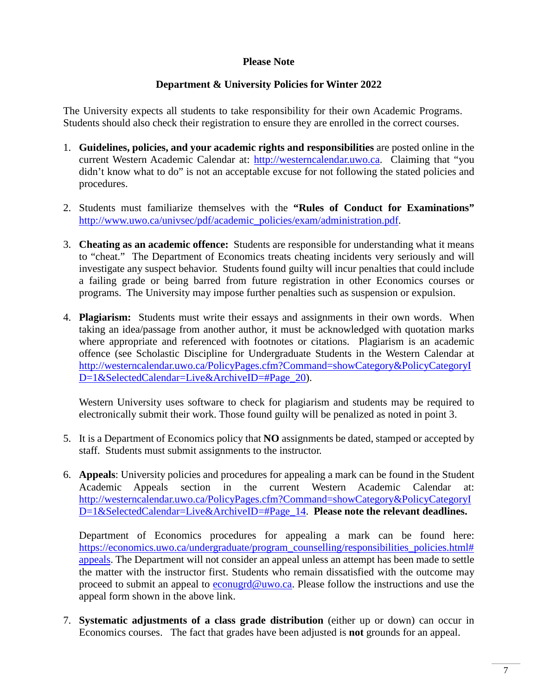#### **Please Note**

#### **Department & University Policies for Winter 2022**

The University expects all students to take responsibility for their own Academic Programs. Students should also check their registration to ensure they are enrolled in the correct courses.

- 1. **Guidelines, policies, and your academic rights and responsibilities** are posted online in the current Western Academic Calendar at: [http://westerncalendar.uwo.ca.](http://westerncalendar.uwo.ca/) Claiming that "you didn't know what to do" is not an acceptable excuse for not following the stated policies and procedures.
- 2. Students must familiarize themselves with the **"Rules of Conduct for Examinations"** [http://www.uwo.ca/univsec/pdf/academic\\_policies/exam/administration.pdf.](http://www.uwo.ca/univsec/pdf/academic_policies/exam/administration.pdf)
- 3. **Cheating as an academic offence:** Students are responsible for understanding what it means to "cheat." The Department of Economics treats cheating incidents very seriously and will investigate any suspect behavior. Students found guilty will incur penalties that could include a failing grade or being barred from future registration in other Economics courses or programs. The University may impose further penalties such as suspension or expulsion.
- 4. **Plagiarism:** Students must write their essays and assignments in their own words. When taking an idea/passage from another author, it must be acknowledged with quotation marks where appropriate and referenced with footnotes or citations. Plagiarism is an academic offence (see Scholastic Discipline for Undergraduate Students in the Western Calendar at [http://westerncalendar.uwo.ca/PolicyPages.cfm?Command=showCategory&PolicyCategoryI](http://westerncalendar.uwo.ca/PolicyPages.cfm?Command=showCategory&PolicyCategoryID=1&SelectedCalendar=Live&ArchiveID=#Page_20) D=1&SelectedCalendar=Live&ArchiveID=#Page 20).

Western University uses software to check for plagiarism and students may be required to electronically submit their work. Those found guilty will be penalized as noted in point 3.

- 5. It is a Department of Economics policy that **NO** assignments be dated, stamped or accepted by staff. Students must submit assignments to the instructor.
- 6. **Appeals**: University policies and procedures for appealing a mark can be found in the Student Academic Appeals section in the current Western Academic Calendar at: [http://westerncalendar.uwo.ca/PolicyPages.cfm?Command=showCategory&PolicyCategoryI](http://westerncalendar.uwo.ca/PolicyPages.cfm?Command=showCategory&PolicyCategoryID=1&SelectedCalendar=Live&ArchiveID=#Page_14) [D=1&SelectedCalendar=Live&ArchiveID=#Page\\_14.](http://westerncalendar.uwo.ca/PolicyPages.cfm?Command=showCategory&PolicyCategoryID=1&SelectedCalendar=Live&ArchiveID=#Page_14) **Please note the relevant deadlines.**

Department of Economics procedures for appealing a mark can be found here: [https://economics.uwo.ca/undergraduate/program\\_counselling/responsibilities\\_policies.html#](https://economics.uwo.ca/undergraduate/program_counselling/responsibilities_policies.html#appeals) [appeals.](https://economics.uwo.ca/undergraduate/program_counselling/responsibilities_policies.html#appeals) The Department will not consider an appeal unless an attempt has been made to settle the matter with the instructor first. Students who remain dissatisfied with the outcome may proceed to submit an appeal to [econugrd@uwo.ca.](mailto:econugrd@uwo.ca) Please follow the instructions and use the appeal form shown in the above link.

7. **Systematic adjustments of a class grade distribution** (either up or down) can occur in Economics courses. The fact that grades have been adjusted is **not** grounds for an appeal.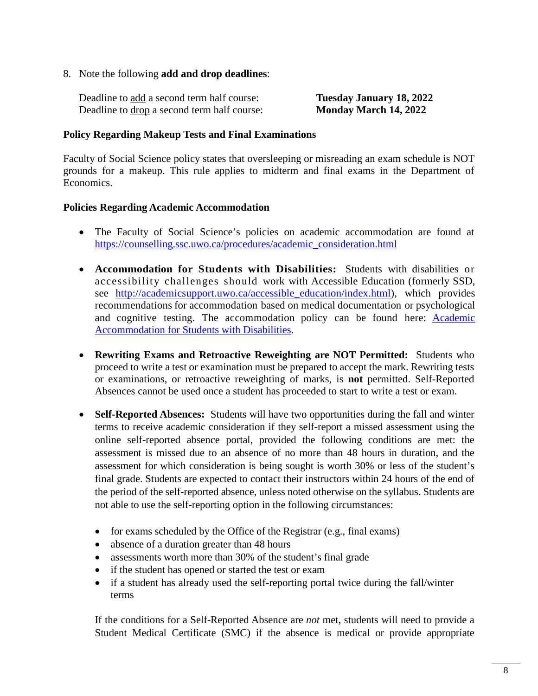8. Note the following **add and drop deadlines**:

| Deadline to add a second term half course:  | <b>Tuesday January 18, 2022</b> |
|---------------------------------------------|---------------------------------|
| Deadline to drop a second term half course: | Monday March 14, 2022           |

#### **Policy Regarding Makeup Tests and Final Examinations**

Faculty of Social Science policy states that oversleeping or misreading an exam schedule is NOT grounds for a makeup. This rule applies to midterm and final exams in the Department of Economics.

#### **Policies Regarding Academic Accommodation**

- The Faculty of Social Science's policies on academic accommodation are found at [https://counselling.ssc.uwo.ca/procedures/academic\\_consideration.html](https://counselling.ssc.uwo.ca/procedures/academic_consideration.html)
- **Accommodation for Students with Disabilities:** Students with disabilities or accessibility challenges should work with Accessible Education (formerly SSD, see [http://academicsupport.uwo.ca/accessible\\_education/index.html\)](http://academicsupport.uwo.ca/accessible_education/index.html), which provides recommendations for accommodation based on medical documentation or psychological and cognitive testing. The accommodation policy can be found here: [Academic](https://www.uwo.ca/univsec/pdf/academic_policies/appeals/Academic%20Accommodation_disabilities.pdf)  [Accommodation for Students with Disabilities.](https://www.uwo.ca/univsec/pdf/academic_policies/appeals/Academic%20Accommodation_disabilities.pdf)
- **Rewriting Exams and Retroactive Reweighting are NOT Permitted:** Students who proceed to write a test or examination must be prepared to accept the mark. Rewriting tests or examinations, or retroactive reweighting of marks, is **not** permitted. Self-Reported Absences cannot be used once a student has proceeded to start to write a test or exam.
- **Self-Reported Absences:** Students will have two opportunities during the fall and winter terms to receive academic consideration if they self-report a missed assessment using the online self-reported absence portal, provided the following conditions are met: the assessment is missed due to an absence of no more than 48 hours in duration, and the assessment for which consideration is being sought is worth 30% or less of the student's final grade. Students are expected to contact their instructors within 24 hours of the end of the period of the self-reported absence, unless noted otherwise on the syllabus. Students are not able to use the self-reporting option in the following circumstances:
	- for exams scheduled by the Office of the Registrar (e.g., final exams)
	- absence of a duration greater than 48 hours
	- assessments worth more than 30% of the student's final grade
	- if the student has opened or started the test or exam
	- if a student has already used the self-reporting portal twice during the fall/winter terms

If the conditions for a Self-Reported Absence are *not* met, students will need to provide a Student Medical Certificate (SMC) if the absence is medical or provide appropriate